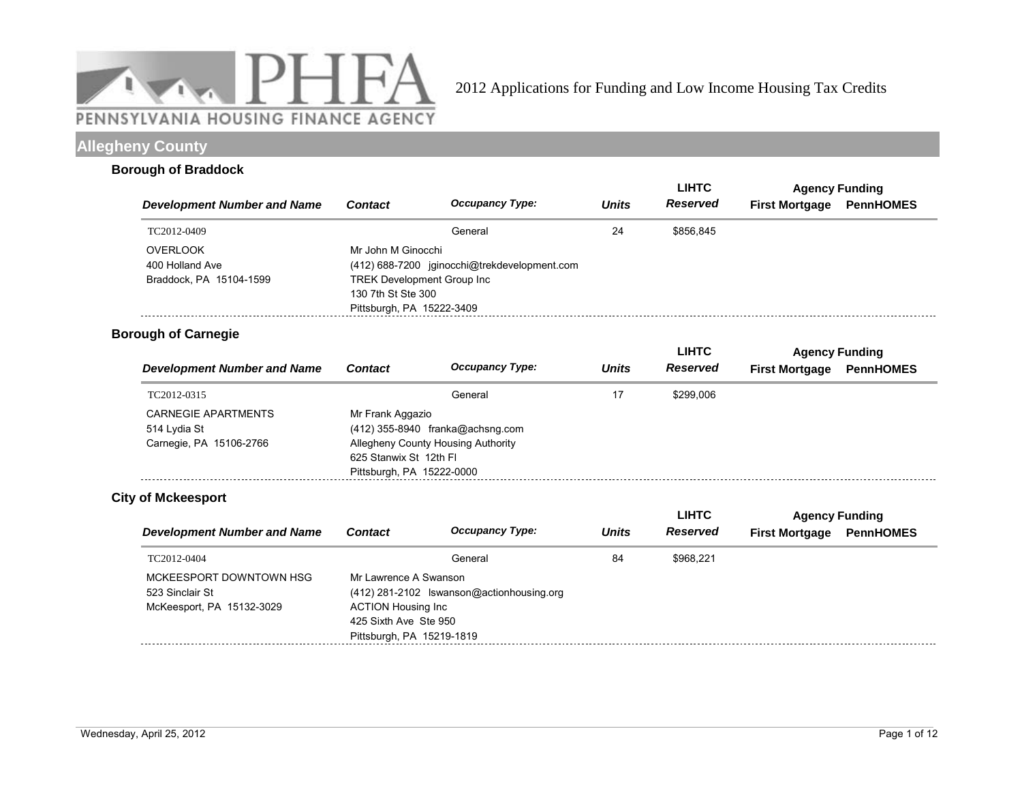

## **Allegheny County**

#### **Borough of Braddock**

|                                    |                                                                                       |                                              |              | <b>LIHTC</b>    | <b>Agency Funding</b> |                  |
|------------------------------------|---------------------------------------------------------------------------------------|----------------------------------------------|--------------|-----------------|-----------------------|------------------|
| <b>Development Number and Name</b> | <b>Contact</b>                                                                        | <b>Occupancy Type:</b>                       | <b>Units</b> | <b>Reserved</b> | <b>First Mortgage</b> | <b>PennHOMES</b> |
| TC2012-0409                        |                                                                                       | General                                      | 24           | \$856.845       |                       |                  |
| <b>OVERLOOK</b><br>400 Holland Ave | Mr John M Ginocchi                                                                    | (412) 688-7200 jginocchi@trekdevelopment.com |              |                 |                       |                  |
| Braddock, PA 15104-1599            | <b>TREK Development Group Inc.</b><br>130 7th St Ste 300<br>Pittsburgh, PA 15222-3409 |                                              |              |                 |                       |                  |

### **Borough of Carnegie**

|                                    |                           |                                    |              | <b>LIHTC</b> | <b>Agency Funding</b> |                  |  |
|------------------------------------|---------------------------|------------------------------------|--------------|--------------|-----------------------|------------------|--|
| <b>Development Number and Name</b> | <b>Contact</b>            | <b>Occupancy Type:</b>             | <b>Units</b> | Reserved     | <b>First Mortgage</b> | <b>PennHOMES</b> |  |
| TC2012-0315                        |                           | General                            | 17           | \$299.006    |                       |                  |  |
| CARNEGIE APARTMENTS                | Mr Frank Aggazio          |                                    |              |              |                       |                  |  |
| 514 Lydia St                       |                           | $(412)$ 355-8940 franka@achsng.com |              |              |                       |                  |  |
| Carnegie, PA 15106-2766            |                           | Allegheny County Housing Authority |              |              |                       |                  |  |
|                                    | 625 Stanwix St 12th Fl    |                                    |              |              |                       |                  |  |
|                                    | Pittsburgh, PA 15222-0000 |                                    |              |              |                       |                  |  |

### **City of Mckeesport**

|                                                                         |                                                                             |                                           |              | <b>LIHTC</b> |                       | <b>Agency Funding</b> |
|-------------------------------------------------------------------------|-----------------------------------------------------------------------------|-------------------------------------------|--------------|--------------|-----------------------|-----------------------|
| <b>Development Number and Name</b>                                      | <b>Contact</b>                                                              | <b>Occupancy Type:</b>                    | <b>Units</b> | Reserved     | <b>First Mortgage</b> | <b>PennHOMES</b>      |
| TC2012-0404                                                             |                                                                             | General                                   | 84           | \$968.221    |                       |                       |
| MCKEESPORT DOWNTOWN HSG<br>523 Sinclair St<br>McKeesport, PA 15132-3029 | Mr Lawrence A Swanson<br><b>ACTION Housing Inc</b><br>425 Sixth Ave Ste 950 | (412) 281-2102 Iswanson@actionhousing.org |              |              |                       |                       |
|                                                                         | Pittsburgh, PA 15219-1819                                                   |                                           |              |              |                       |                       |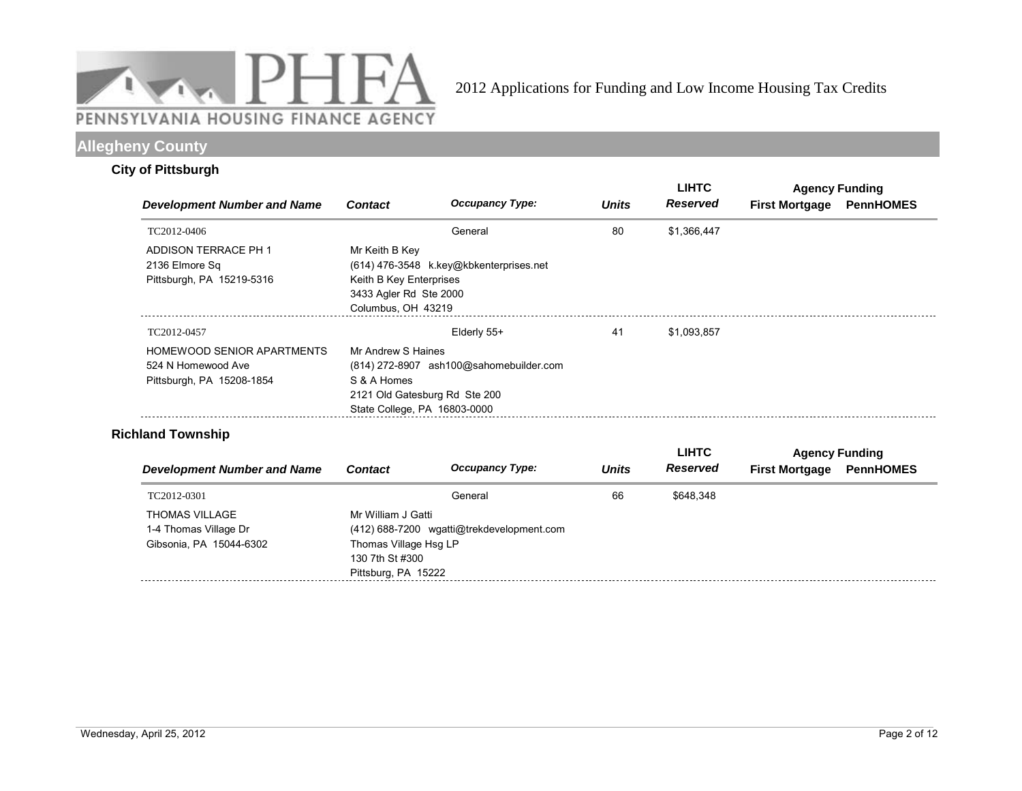

# **Allegheny County**

### **City of Pittsburgh**

|                                                                               |                                                                                           |                                                                          |              | <b>LIHTC</b>    | <b>Agency Funding</b> |                  |  |
|-------------------------------------------------------------------------------|-------------------------------------------------------------------------------------------|--------------------------------------------------------------------------|--------------|-----------------|-----------------------|------------------|--|
| <b>Development Number and Name</b>                                            | <b>Contact</b>                                                                            | <b>Occupancy Type:</b>                                                   | <b>Units</b> | <b>Reserved</b> | <b>First Mortgage</b> | <b>PennHOMES</b> |  |
| TC2012-0406                                                                   |                                                                                           | General                                                                  | 80           | \$1,366,447     |                       |                  |  |
| ADDISON TERRACE PH 1<br>2136 Elmore Sq<br>Pittsburgh, PA 15219-5316           | Mr Keith B Key<br>Keith B Key Enterprises<br>3433 Agler Rd Ste 2000<br>Columbus, OH 43219 | (614) 476-3548 k.key@kbkenterprises.net                                  |              |                 |                       |                  |  |
| TC2012-0457                                                                   |                                                                                           | Elderly 55+                                                              | 41           | \$1,093,857     |                       |                  |  |
| HOMEWOOD SENIOR APARTMENTS<br>524 N Homewood Ave<br>Pittsburgh, PA 15208-1854 | Mr Andrew S Haines<br>S & A Homes<br>State College, PA 16803-0000                         | (814) 272-8907 ash100@sahomebuilder.com<br>2121 Old Gatesburg Rd Ste 200 |              |                 |                       |                  |  |

### **Richland Township**

|                                    |                       |                                           |              | <b>LIHTC</b> |                       | <b>Agency Funding</b> |
|------------------------------------|-----------------------|-------------------------------------------|--------------|--------------|-----------------------|-----------------------|
| <b>Development Number and Name</b> | <b>Contact</b>        | <b>Occupancy Type:</b>                    | <b>Units</b> | Reserved     | <b>First Mortgage</b> | <b>PennHOMES</b>      |
| TC2012-0301                        |                       | General                                   | 66           | \$648.348    |                       |                       |
| THOMAS VILLAGE                     | Mr William J Gatti    |                                           |              |              |                       |                       |
| 1-4 Thomas Village Dr              |                       | (412) 688-7200 wgatti@trekdevelopment.com |              |              |                       |                       |
| Gibsonia, PA 15044-6302            | Thomas Village Hsg LP |                                           |              |              |                       |                       |
|                                    | 130 7th St #300       |                                           |              |              |                       |                       |
|                                    | Pittsburg, PA 15222   |                                           |              |              |                       |                       |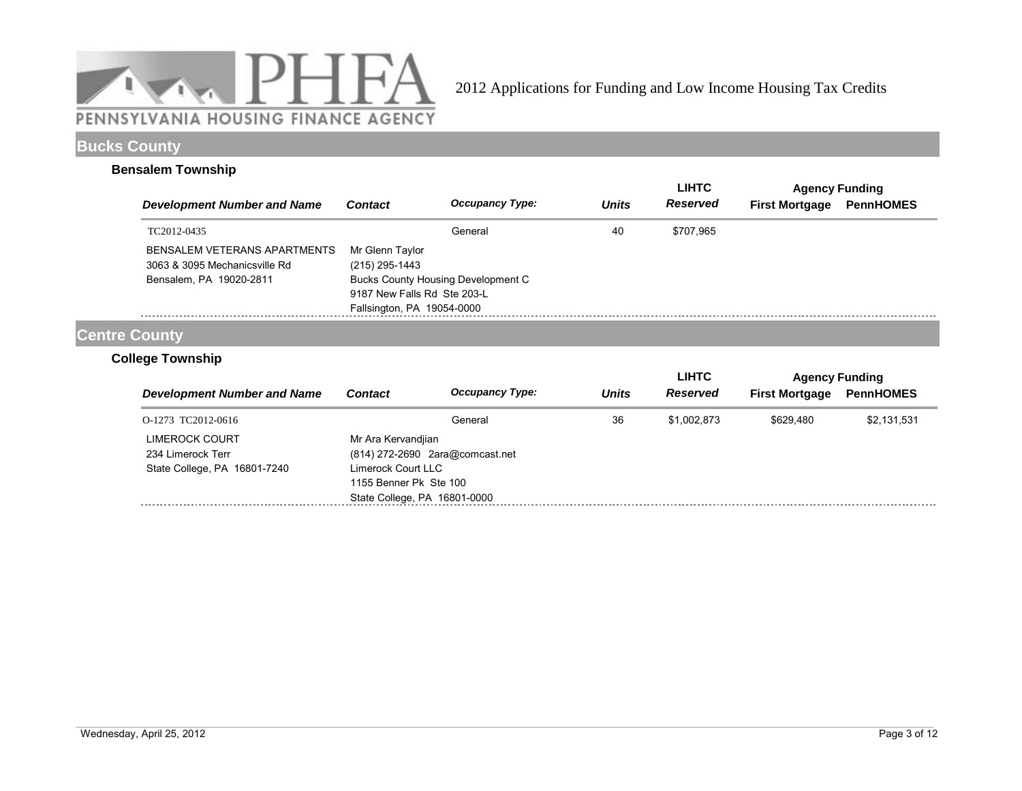

### **Bucks County**

### **Bensalem Township**

|                                                               |                                                           |                                           |              | <b>LIHTC</b>    | <b>Agency Funding</b> |                  |
|---------------------------------------------------------------|-----------------------------------------------------------|-------------------------------------------|--------------|-----------------|-----------------------|------------------|
| <b>Development Number and Name</b>                            | <b>Contact</b>                                            | <b>Occupancy Type:</b>                    | <b>Units</b> | <b>Reserved</b> | <b>First Mortgage</b> | <b>PennHOMES</b> |
| TC2012-0435                                                   |                                                           | General                                   | 40           | \$707.965       |                       |                  |
| BENSALEM VETERANS APARTMENTS<br>3063 & 3095 Mechanicsville Rd | Mr Glenn Taylor<br>(215) 295-1443                         |                                           |              |                 |                       |                  |
| Bensalem, PA 19020-2811                                       | 9187 New Falls Rd Ste 203-L<br>Fallsington, PA 19054-0000 | <b>Bucks County Housing Development C</b> |              |                 |                       |                  |

# **Centre County**

### **College Township**

|                                    |                                 |                        |              | <b>LIHTC</b>    | <b>Agency Funding</b> |                  |
|------------------------------------|---------------------------------|------------------------|--------------|-----------------|-----------------------|------------------|
| <b>Development Number and Name</b> | <b>Contact</b>                  | <b>Occupancy Type:</b> | <b>Units</b> | <b>Reserved</b> | <b>First Mortgage</b> | <b>PennHOMES</b> |
| O-1273 TC2012-0616                 |                                 | General                | 36           | \$1,002.873     | \$629.480             | \$2,131,531      |
| LIMEROCK COURT                     | Mr Ara Kervandjian              |                        |              |                 |                       |                  |
| 234 Limerock Terr                  | (814) 272-2690 2ara@comcast.net |                        |              |                 |                       |                  |
| State College, PA 16801-7240       | Limerock Court LLC              |                        |              |                 |                       |                  |
|                                    | 1155 Benner Pk Ste 100          |                        |              |                 |                       |                  |
|                                    | State College, PA 16801-0000    |                        |              |                 |                       |                  |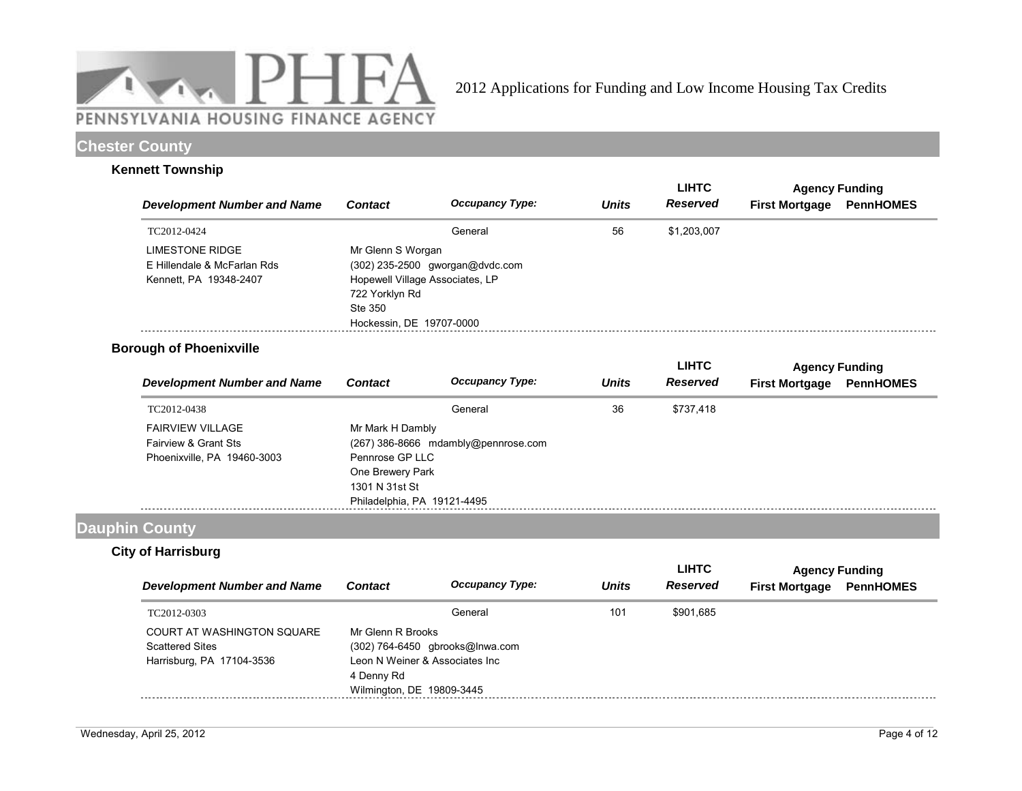

### **Chester County**

### **Kennett Township**

|                                    |                          |                                 |              | <b>LIHTC</b>    | <b>Agency Funding</b> |                  |  |
|------------------------------------|--------------------------|---------------------------------|--------------|-----------------|-----------------------|------------------|--|
| <b>Development Number and Name</b> | <b>Contact</b>           | <b>Occupancy Type:</b>          | <b>Units</b> | <b>Reserved</b> | <b>First Mortgage</b> | <b>PennHOMES</b> |  |
| TC2012-0424                        |                          | General                         | 56           | \$1,203,007     |                       |                  |  |
| LIMESTONE RIDGE                    | Mr Glenn S Worgan        |                                 |              |                 |                       |                  |  |
| E Hillendale & McFarlan Rds        |                          | (302) 235-2500 gworgan@dvdc.com |              |                 |                       |                  |  |
| Kennett, PA 19348-2407             |                          | Hopewell Village Associates, LP |              |                 |                       |                  |  |
|                                    | 722 Yorklyn Rd           |                                 |              |                 |                       |                  |  |
|                                    | Ste 350                  |                                 |              |                 |                       |                  |  |
|                                    | Hockessin, DE 19707-0000 |                                 |              |                 |                       |                  |  |
|                                    |                          |                                 |              |                 |                       |                  |  |

### **Borough of Phoenixville**

|                                    |                             |                                       |              | LIHTC           | <b>Agency Funding</b> |                  |  |
|------------------------------------|-----------------------------|---------------------------------------|--------------|-----------------|-----------------------|------------------|--|
| <b>Development Number and Name</b> | <b>Contact</b>              | <b>Occupancy Type:</b>                | <b>Units</b> | <b>Reserved</b> | <b>First Mortgage</b> | <b>PennHOMES</b> |  |
| TC2012-0438                        |                             | General                               | 36           | \$737.418       |                       |                  |  |
| <b>FAIRVIEW VILLAGE</b>            | Mr Mark H Dambly            |                                       |              |                 |                       |                  |  |
| Fairview & Grant Sts               |                             | $(267)$ 386-8666 mdambly@pennrose.com |              |                 |                       |                  |  |
| Phoenixville, PA 19460-3003        | Pennrose GP LLC             |                                       |              |                 |                       |                  |  |
|                                    | One Brewery Park            |                                       |              |                 |                       |                  |  |
|                                    | 1301 N 31st St              |                                       |              |                 |                       |                  |  |
|                                    | Philadelphia, PA 19121-4495 |                                       |              |                 |                       |                  |  |

## **Dauphin County**

### **City of Harrisburg**

|                                                                                          |                                                                                                |                                 | <b>Units</b> | <b>LIHTC</b>    | <b>Agency Funding</b> |                  |
|------------------------------------------------------------------------------------------|------------------------------------------------------------------------------------------------|---------------------------------|--------------|-----------------|-----------------------|------------------|
| <b>Development Number and Name</b>                                                       | <b>Contact</b>                                                                                 | <b>Occupancy Type:</b>          |              | <b>Reserved</b> | <b>First Mortgage</b> | <b>PennHOMES</b> |
| TC2012-0303                                                                              |                                                                                                | General                         | 101          | \$901.685       |                       |                  |
| <b>COURT AT WASHINGTON SQUARE</b><br><b>Scattered Sites</b><br>Harrisburg, PA 17104-3536 | Mr Glenn R Brooks<br>Leon N Weiner & Associates Inc<br>4 Denny Rd<br>Wilmington, DE 19809-3445 | (302) 764-6450 gbrooks@Inwa.com |              |                 |                       |                  |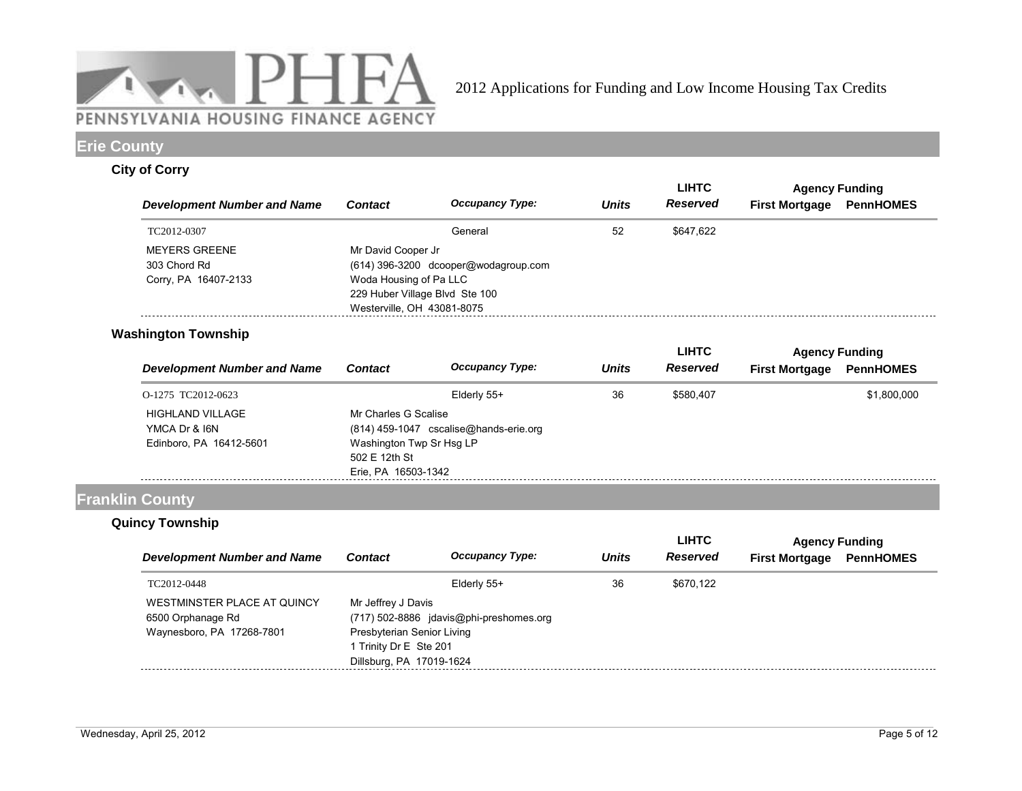

## **Erie County**

### **City of Corry**

|                                      |                                                                                        |                                        |              | <b>LIHTC</b> |                       | <b>Agency Funding</b> |
|--------------------------------------|----------------------------------------------------------------------------------------|----------------------------------------|--------------|--------------|-----------------------|-----------------------|
| <b>Development Number and Name</b>   | <b>Contact</b>                                                                         | <b>Occupancy Type:</b>                 | <b>Units</b> | Reserved     | <b>First Mortgage</b> | <b>PennHOMES</b>      |
| TC2012-0307                          |                                                                                        | General                                | 52           | \$647.622    |                       |                       |
| <b>MEYERS GREENE</b><br>303 Chord Rd | Mr David Cooper Jr                                                                     | $(614)$ 396-3200 dcooper@wodagroup.com |              |              |                       |                       |
| Corry, PA 16407-2133                 | Woda Housing of Pa LLC<br>229 Huber Village Blvd Ste 100<br>Westerville, OH 43081-8075 |                                        |              |              |                       |                       |

### **Washington Township**

|                                                              |                                                                   |                                          |              | <b>LIHTC</b>    | <b>Agency Funding</b> |                  |
|--------------------------------------------------------------|-------------------------------------------------------------------|------------------------------------------|--------------|-----------------|-----------------------|------------------|
| <b>Development Number and Name</b>                           | Contact                                                           | <b>Occupancy Type:</b>                   | <b>Units</b> | <b>Reserved</b> | <b>First Mortgage</b> | <b>PennHOMES</b> |
| O-1275 TC2012-0623                                           |                                                                   | Elderly 55+                              | 36           | \$580,407       |                       | \$1,800,000      |
| HIGHLAND VILLAGE<br>YMCA Dr & I6N<br>Edinboro, PA 16412-5601 | Mr Charles G Scalise<br>Washington Twp Sr Hsg LP<br>502 E 12th St | $(814)$ 459-1047 cscalise@hands-erie.org |              |                 |                       |                  |
|                                                              | Erie, PA 16503-1342                                               |                                          |              |                 |                       |                  |

### **Franklin County**

### **Quincy Township**

|                                                                               |                                                                                                                                                   |                        |              | <b>LIHTC</b> | <b>Agency Funding</b> |                  |
|-------------------------------------------------------------------------------|---------------------------------------------------------------------------------------------------------------------------------------------------|------------------------|--------------|--------------|-----------------------|------------------|
| <b>Development Number and Name</b>                                            | <b>Contact</b>                                                                                                                                    | <b>Occupancy Type:</b> | <b>Units</b> | Reserved     | <b>First Mortgage</b> | <b>PennHOMES</b> |
| TC2012-0448                                                                   |                                                                                                                                                   | Elderly 55+            | 36           | \$670.122    |                       |                  |
| WESTMINSTER PLACE AT QUINCY<br>6500 Orphanage Rd<br>Waynesboro, PA 17268-7801 | Mr Jeffrey J Davis<br>(717) 502-8886 idavis@phi-preshomes.org<br>Presbyterian Senior Living<br>1 Trinity Dr E Ste 201<br>Dillsburg, PA 17019-1624 |                        |              |              |                       |                  |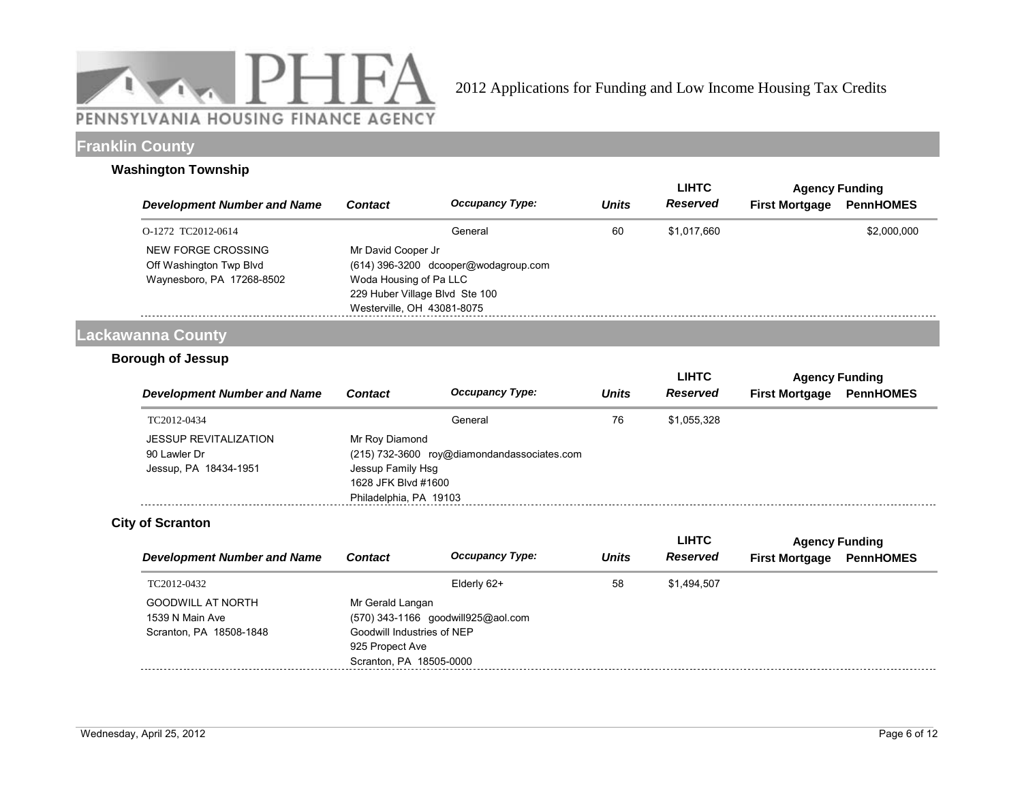

### **Franklin County**

#### **Washington Township**

|                                    |                                |                                        |              | <b>LIHTC</b> | <b>Agency Funding</b> |                  |
|------------------------------------|--------------------------------|----------------------------------------|--------------|--------------|-----------------------|------------------|
| <b>Development Number and Name</b> | <b>Contact</b>                 | <b>Occupancy Type:</b>                 | <b>Units</b> | Reserved     | <b>First Mortgage</b> | <b>PennHOMES</b> |
| O-1272 TC2012-0614                 |                                | General                                | 60           | \$1.017.660  |                       | \$2,000,000      |
| NEW FORGE CROSSING                 | Mr David Cooper Jr             |                                        |              |              |                       |                  |
| Off Washington Twp Blvd            |                                | $(614)$ 396-3200 dcooper@wodagroup.com |              |              |                       |                  |
| Waynesboro, PA 17268-8502          | Woda Housing of Pa LLC         |                                        |              |              |                       |                  |
|                                    | 229 Huber Village Blvd Ste 100 |                                        |              |              |                       |                  |
|                                    | Westerville, OH 43081-8075     |                                        |              |              |                       |                  |

# **Lackawanna County**

#### **Borough of Jessup**

|                                                                       |                                                                                      |                                             |              | <b>LIHTC</b> | <b>Agency Funding</b> |                  |  |
|-----------------------------------------------------------------------|--------------------------------------------------------------------------------------|---------------------------------------------|--------------|--------------|-----------------------|------------------|--|
| <b>Development Number and Name</b>                                    | <b>Contact</b>                                                                       | <b>Occupancy Type:</b>                      | <b>Units</b> | Reserved     | <b>First Mortgage</b> | <b>PennHOMES</b> |  |
| TC2012-0434                                                           |                                                                                      | General                                     | 76           | \$1.055.328  |                       |                  |  |
| <b>JESSUP REVITALIZATION</b><br>90 Lawler Dr<br>Jessup, PA 18434-1951 | Mr Roy Diamond<br>Jessup Family Hsg<br>1628 JFK Blvd #1600<br>Philadelphia, PA 19103 | (215) 732-3600 roy@diamondandassociates.com |              |              |                       |                  |  |

### **City of Scranton**

|                                                                        |                                                                                              |                                    |              | <b>LIHTC</b> | <b>Agency Funding</b> |                  |
|------------------------------------------------------------------------|----------------------------------------------------------------------------------------------|------------------------------------|--------------|--------------|-----------------------|------------------|
| <b>Development Number and Name</b>                                     | <b>Contact</b>                                                                               | <b>Occupancy Type:</b>             | <b>Units</b> | Reserved     | <b>First Mortgage</b> | <b>PennHOMES</b> |
| TC2012-0432                                                            |                                                                                              | Elderly 62+                        | 58           | \$1.494.507  |                       |                  |
| <b>GOODWILL AT NORTH</b><br>1539 N Main Ave<br>Scranton, PA 18508-1848 | Mr Gerald Langan<br>Goodwill Industries of NEP<br>925 Propect Ave<br>Scranton, PA 18505-0000 | (570) 343-1166 goodwill925@aol.com |              |              |                       |                  |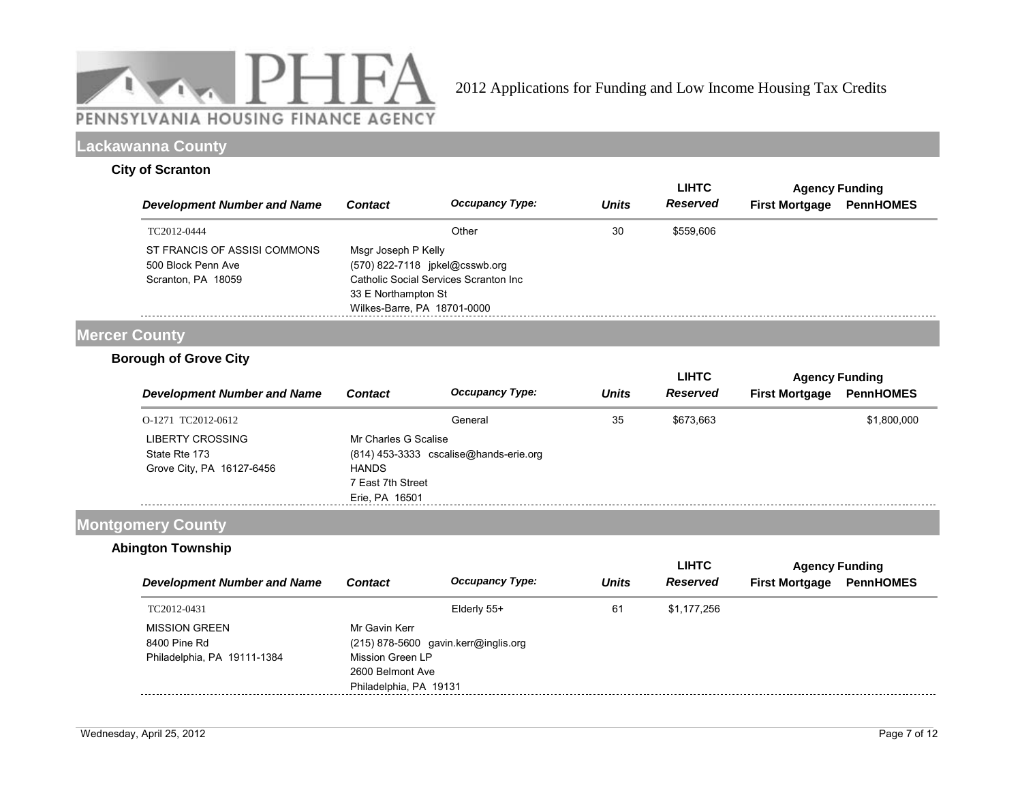

### **Lackawanna County**

#### **City of Scranton**

|                                                                          |                                                                                                             |                                       |              | <b>LIHTC</b> | <b>Agency Funding</b> |                  |
|--------------------------------------------------------------------------|-------------------------------------------------------------------------------------------------------------|---------------------------------------|--------------|--------------|-----------------------|------------------|
| <b>Development Number and Name</b>                                       | <b>Contact</b>                                                                                              | <b>Occupancy Type:</b>                | <b>Units</b> | Reserved     | <b>First Mortgage</b> | <b>PennHOMES</b> |
| TC2012-0444                                                              |                                                                                                             | Other                                 | 30           | \$559,606    |                       |                  |
| ST FRANCIS OF ASSISI COMMONS<br>500 Block Penn Ave<br>Scranton, PA 18059 | Msgr Joseph P Kelly<br>(570) 822-7118 jpkel@csswb.org<br>33 E Northampton St<br>Wilkes-Barre, PA 18701-0000 | Catholic Social Services Scranton Inc |              |              |                       |                  |

### **Mercer County**

### **Borough of Grove City**

|                                                                |                                                                             |                                          |              | <b>LIHTC</b> | <b>Agency Funding</b> |                  |
|----------------------------------------------------------------|-----------------------------------------------------------------------------|------------------------------------------|--------------|--------------|-----------------------|------------------|
| <b>Development Number and Name</b>                             | <b>Contact</b>                                                              | <b>Occupancy Type:</b>                   | <b>Units</b> | Reserved     | <b>First Mortgage</b> | <b>PennHOMES</b> |
| O-1271 TC2012-0612                                             |                                                                             | General                                  | 35           | \$673.663    |                       | \$1,800,000      |
| LIBERTY CROSSING<br>State Rte 173<br>Grove City, PA 16127-6456 | Mr Charles G Scalise<br><b>HANDS</b><br>7 East 7th Street<br>Erie, PA 16501 | $(814)$ 453-3333 cscalise@hands-erie.org |              |              |                       |                  |

## **Montgomery County**

### **Abington Township**

|                                    |                        |                                        |              | LIHTC           | <b>Agency Funding</b> |                  |  |
|------------------------------------|------------------------|----------------------------------------|--------------|-----------------|-----------------------|------------------|--|
| <b>Development Number and Name</b> | <b>Contact</b>         | <b>Occupancy Type:</b>                 | <b>Units</b> | <b>Reserved</b> | <b>First Mortgage</b> | <b>PennHOMES</b> |  |
| TC2012-0431                        |                        | Elderly 55+                            | 61           | \$1,177,256     |                       |                  |  |
| <b>MISSION GREEN</b>               | Mr Gavin Kerr          |                                        |              |                 |                       |                  |  |
| 8400 Pine Rd                       |                        | $(215)$ 878-5600 gavin.kerr@inglis.org |              |                 |                       |                  |  |
| Philadelphia, PA 19111-1384        | Mission Green LP       |                                        |              |                 |                       |                  |  |
|                                    | 2600 Belmont Ave       |                                        |              |                 |                       |                  |  |
|                                    | Philadelphia, PA 19131 |                                        |              |                 |                       |                  |  |
|                                    |                        |                                        |              |                 |                       |                  |  |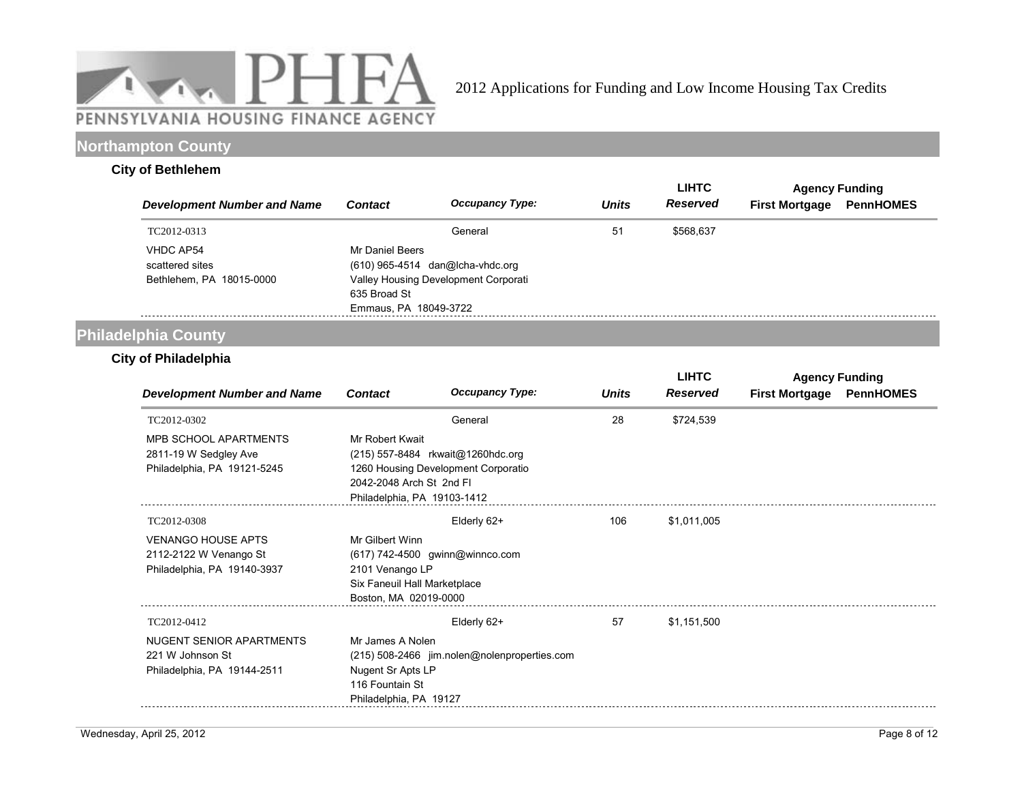

### **Northampton County**

### **City of Bethlehem**

|                                                                 |                                                          |                                                                            |              | <b>LIHTC</b>    | <b>Agency Funding</b> |                  |
|-----------------------------------------------------------------|----------------------------------------------------------|----------------------------------------------------------------------------|--------------|-----------------|-----------------------|------------------|
| <b>Development Number and Name</b>                              | <b>Contact</b>                                           | <b>Occupancy Type:</b>                                                     | <b>Units</b> | <b>Reserved</b> | <b>First Mortgage</b> | <b>PennHOMES</b> |
| TC2012-0313                                                     |                                                          | General                                                                    | 51           | \$568.637       |                       |                  |
| <b>VHDC AP54</b><br>scattered sites<br>Bethlehem, PA 18015-0000 | Mr Daniel Beers<br>635 Broad St<br>Emmaus, PA 18049-3722 | $(610)$ 965-4514 dan@lcha-vhdc.org<br>Valley Housing Development Corporati |              |                 |                       |                  |

# **Philadelphia County**

### **City of Philadelphia**

|                                                                                      |                                                                                                                                |                                                                          | <b>LIHTC</b> | <b>Agency Funding</b> |                       |                  |
|--------------------------------------------------------------------------------------|--------------------------------------------------------------------------------------------------------------------------------|--------------------------------------------------------------------------|--------------|-----------------------|-----------------------|------------------|
| <b>Development Number and Name</b>                                                   | <b>Contact</b>                                                                                                                 | <b>Occupancy Type:</b>                                                   | <b>Units</b> | <b>Reserved</b>       | <b>First Mortgage</b> | <b>PennHOMES</b> |
| TC2012-0302                                                                          |                                                                                                                                | General                                                                  | 28           | \$724,539             |                       |                  |
| <b>MPB SCHOOL APARTMENTS</b><br>2811-19 W Sedgley Ave<br>Philadelphia, PA 19121-5245 | Mr Robert Kwait<br>2042-2048 Arch St 2nd Fl<br>Philadelphia, PA 19103-1412                                                     | (215) 557-8484 rkwait@1260hdc.org<br>1260 Housing Development Corporatio |              |                       |                       |                  |
| TC2012-0308                                                                          |                                                                                                                                | Elderly 62+                                                              | 106          | \$1,011,005           |                       |                  |
| <b>VENANGO HOUSE APTS</b><br>2112-2122 W Venango St<br>Philadelphia, PA 19140-3937   | Mr Gilbert Winn<br>(617) 742-4500 gwinn@winnco.com<br>2101 Venango LP<br>Six Faneuil Hall Marketplace<br>Boston, MA 02019-0000 |                                                                          |              |                       |                       |                  |
| TC2012-0412                                                                          |                                                                                                                                | Elderly 62+                                                              | 57           | \$1,151,500           |                       |                  |
| NUGENT SENIOR APARTMENTS<br>221 W Johnson St<br>Philadelphia, PA 19144-2511          | Mr James A Nolen<br>Nugent Sr Apts LP<br>116 Fountain St<br>Philadelphia, PA 19127                                             | (215) 508-2466 jim.nolen@nolenproperties.com                             |              |                       |                       |                  |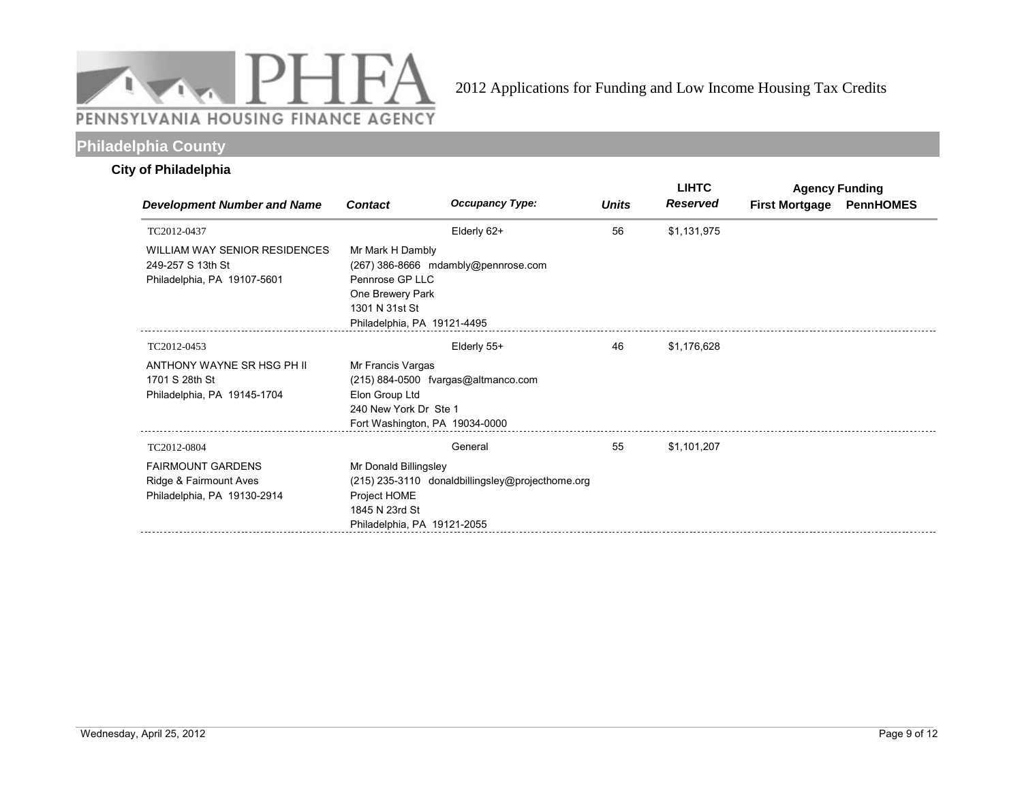

# **Philadelphia County**

### **City of Philadelphia**

|                                                                                   |                                                                                                          |                                                  |              | <b>LIHTC</b>    | <b>Agency Funding</b> |                  |
|-----------------------------------------------------------------------------------|----------------------------------------------------------------------------------------------------------|--------------------------------------------------|--------------|-----------------|-----------------------|------------------|
| <b>Development Number and Name</b>                                                | <b>Contact</b>                                                                                           | <b>Occupancy Type:</b>                           | <b>Units</b> | <b>Reserved</b> | <b>First Mortgage</b> | <b>PennHOMES</b> |
| TC2012-0437                                                                       |                                                                                                          | Elderly 62+                                      | 56           | \$1,131,975     |                       |                  |
| WILLIAM WAY SENIOR RESIDENCES<br>249-257 S 13th St<br>Philadelphia, PA 19107-5601 | Mr Mark H Dambly<br>Pennrose GP LLC<br>One Brewery Park<br>1301 N 31st St<br>Philadelphia, PA 19121-4495 | (267) 386-8666 mdambly@pennrose.com              |              |                 |                       |                  |
| TC2012-0453                                                                       |                                                                                                          | Elderly 55+                                      | 46           | \$1,176,628     |                       |                  |
| ANTHONY WAYNE SR HSG PH II<br>1701 S 28th St<br>Philadelphia, PA 19145-1704       | Mr Francis Vargas<br>Elon Group Ltd<br>240 New York Dr Ste 1<br>Fort Washington, PA 19034-0000           | $(215)$ 884-0500 fvargas@altmanco.com            |              |                 |                       |                  |
| TC2012-0804                                                                       |                                                                                                          | General                                          | 55           | \$1,101,207     |                       |                  |
| <b>FAIRMOUNT GARDENS</b><br>Ridge & Fairmount Aves<br>Philadelphia, PA 19130-2914 | Mr Donald Billingsley<br>Project HOME<br>1845 N 23rd St<br>Philadelphia, PA 19121-2055                   | (215) 235-3110 donaldbillingsley@projecthome.org |              |                 |                       |                  |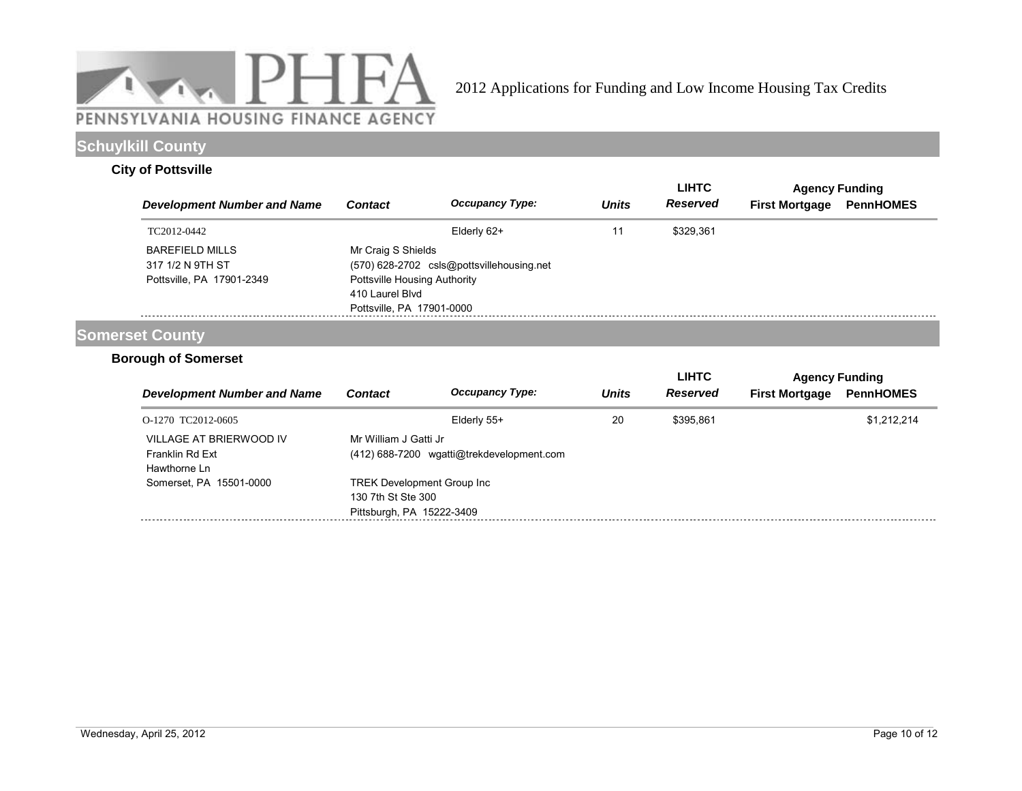

# **Schuylkill County**

### **City of Pottsville**

|                                                                         |                                                                                                    |                                           |              | <b>LIHTC</b>    |                       | <b>Agency Funding</b> |
|-------------------------------------------------------------------------|----------------------------------------------------------------------------------------------------|-------------------------------------------|--------------|-----------------|-----------------------|-----------------------|
| <b>Development Number and Name</b>                                      | <b>Contact</b>                                                                                     | <b>Occupancy Type:</b>                    | <b>Units</b> | <b>Reserved</b> | <b>First Mortgage</b> | <b>PennHOMES</b>      |
| TC2012-0442                                                             |                                                                                                    | Elderly 62+                               |              | \$329.361       |                       |                       |
| <b>BAREFIELD MILLS</b><br>317 1/2 N 9TH ST<br>Pottsville, PA 17901-2349 | Mr Craig S Shields<br>Pottsville Housing Authority<br>410 Laurel Blvd<br>Pottsville, PA 17901-0000 | (570) 628-2702 csls@pottsvillehousing.net |              |                 |                       |                       |

## **Somerset County**

### **Borough of Somerset**

|                                                            |                                                                                       |                                           |              | <b>LIHTC</b> | <b>Agency Funding</b> |                  |
|------------------------------------------------------------|---------------------------------------------------------------------------------------|-------------------------------------------|--------------|--------------|-----------------------|------------------|
| <b>Development Number and Name</b>                         | <b>Contact</b>                                                                        | <b>Occupancy Type:</b>                    | <b>Units</b> | Reserved     | <b>First Mortgage</b> | <b>PennHOMES</b> |
| O-1270 TC2012-0605                                         |                                                                                       | Elderly 55+                               | 20           | \$395.861    |                       | \$1.212.214      |
| VILLAGE AT BRIERWOOD IV<br>Franklin Rd Ext<br>Hawthorne Ln | Mr William J Gatti Jr                                                                 | (412) 688-7200 wgatti@trekdevelopment.com |              |              |                       |                  |
| Somerset, PA 15501-0000                                    | <b>TREK Development Group Inc.</b><br>130 7th St Ste 300<br>Pittsburgh, PA 15222-3409 |                                           |              |              |                       |                  |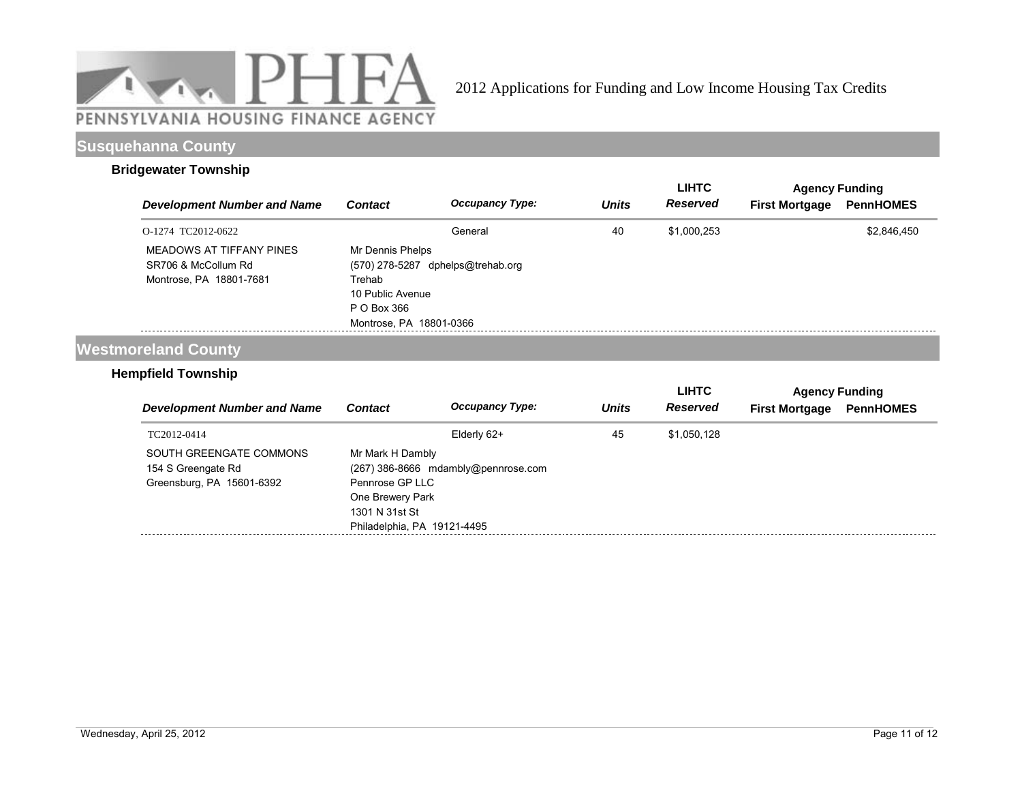

### **Susquehanna County**

#### **Bridgewater Township**

|                                                                            |                                                                                                            |                        |              | <b>LIHTC</b>    | <b>Agency Funding</b> |                  |
|----------------------------------------------------------------------------|------------------------------------------------------------------------------------------------------------|------------------------|--------------|-----------------|-----------------------|------------------|
| <b>Development Number and Name</b>                                         | <b>Contact</b>                                                                                             | <b>Occupancy Type:</b> | <b>Units</b> | <b>Reserved</b> | <b>First Mortgage</b> | <b>PennHOMES</b> |
| O-1274 TC2012-0622                                                         |                                                                                                            | General                | 40           | \$1,000,253     |                       | \$2,846,450      |
| MEADOWS AT TIFFANY PINES<br>SR706 & McCollum Rd<br>Montrose, PA 18801-7681 | Mr Dennis Phelps<br>(570) 278-5287<br>Trehab<br>10 Public Avenue<br>P O Box 366<br>Montrose, PA 18801-0366 | dphelps@trehab.org     |              |                 |                       |                  |

# **Westmoreland County**

### **Hempfield Township**

|                                                                            |                                                                                                          |                                     |              | <b>LIHTC</b> | <b>Agency Funding</b> |                  |  |
|----------------------------------------------------------------------------|----------------------------------------------------------------------------------------------------------|-------------------------------------|--------------|--------------|-----------------------|------------------|--|
| <b>Development Number and Name</b>                                         | <b>Contact</b>                                                                                           | <b>Occupancy Type:</b>              | <b>Units</b> | Reserved     | <b>First Mortgage</b> | <b>PennHOMES</b> |  |
| TC2012-0414                                                                |                                                                                                          | Elderly 62+                         | 45           | \$1,050,128  |                       |                  |  |
| SOUTH GREENGATE COMMONS<br>154 S Greengate Rd<br>Greensburg, PA 15601-6392 | Mr Mark H Dambly<br>Pennrose GP LLC<br>One Brewery Park<br>1301 N 31st St<br>Philadelphia, PA 19121-4495 | (267) 386-8666 mdambly@pennrose.com |              |              |                       |                  |  |